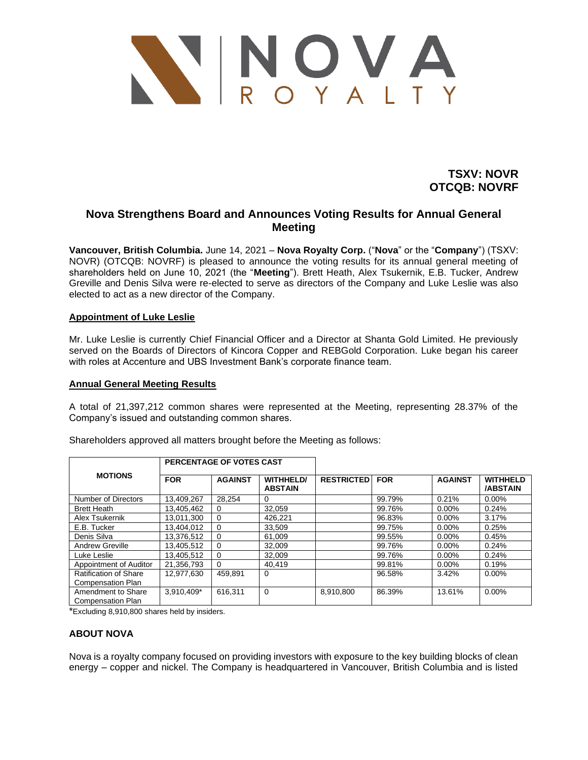

**TSXV: NOVR OTCQB: NOVRF**

# **Nova Strengthens Board and Announces Voting Results for Annual General Meeting**

**Vancouver, British Columbia.** June 14, 2021 – **Nova Royalty Corp.** ("**Nova**" or the "**Company**") (TSXV: NOVR) (OTCQB: NOVRF) is pleased to announce the voting results for its annual general meeting of shareholders held on June 10, 2021 (the "**Meeting**"). Brett Heath, Alex Tsukernik, E.B. Tucker, Andrew Greville and Denis Silva were re-elected to serve as directors of the Company and Luke Leslie was also elected to act as a new director of the Company.

## **Appointment of Luke Leslie**

Mr. Luke Leslie is currently Chief Financial Officer and a Director at Shanta Gold Limited. He previously served on the Boards of Directors of Kincora Copper and REBGold Corporation. Luke began his career with roles at Accenture and UBS Investment Bank's corporate finance team.

## **Annual General Meeting Results**

A total of 21,397,212 common shares were represented at the Meeting, representing 28.37% of the Company's issued and outstanding common shares.

| <b>MOTIONS</b>                                 | PERCENTAGE OF VOTES CAST |                |                                    |                   |            |                |                                    |
|------------------------------------------------|--------------------------|----------------|------------------------------------|-------------------|------------|----------------|------------------------------------|
|                                                | <b>FOR</b>               | <b>AGAINST</b> | <b>WITHHELD/</b><br><b>ABSTAIN</b> | <b>RESTRICTED</b> | <b>FOR</b> | <b>AGAINST</b> | <b>WITHHELD</b><br><b>/ABSTAIN</b> |
| Number of Directors                            | 13.409.267               | 28.254         | 0                                  |                   | 99.79%     | 0.21%          | $0.00\%$                           |
| <b>Brett Heath</b>                             | 13,405,462               | 0              | 32,059                             |                   | 99.76%     | $0.00\%$       | 0.24%                              |
| Alex Tsukernik                                 | 13,011,300               | $\mathbf 0$    | 426,221                            |                   | 96.83%     | $0.00\%$       | 3.17%                              |
| E.B. Tucker                                    | 13.404.012               | $\mathbf 0$    | 33.509                             |                   | 99.75%     | 0.00%          | 0.25%                              |
| Denis Silva                                    | 13,376,512               | $\mathbf 0$    | 61.009                             |                   | 99.55%     | 0.00%          | 0.45%                              |
| <b>Andrew Greville</b>                         | 13,405,512               | $\Omega$       | 32.009                             |                   | 99.76%     | $0.00\%$       | 0.24%                              |
| Luke Leslie                                    | 13,405,512               | $\mathbf 0$    | 32.009                             |                   | 99.76%     | 0.00%          | 0.24%                              |
| Appointment of Auditor                         | 21,356,793               | $\Omega$       | 40.419                             |                   | 99.81%     | 0.00%          | 0.19%                              |
| Ratification of Share                          | 12,977,630               | 459.891        | 0                                  |                   | 96.58%     | 3.42%          | $0.00\%$                           |
| <b>Compensation Plan</b>                       |                          |                |                                    |                   |            |                |                                    |
| Amendment to Share<br><b>Compensation Plan</b> | 3.910.409*               | 616.311        | $\Omega$                           | 8.910.800         | 86.39%     | 13.61%         | $0.00\%$                           |

Shareholders approved all matters brought before the Meeting as follows:

\*Excluding 8,910,800 shares held by insiders.

## **ABOUT NOVA**

Nova is a royalty company focused on providing investors with exposure to the key building blocks of clean energy – copper and nickel. The Company is headquartered in Vancouver, British Columbia and is listed